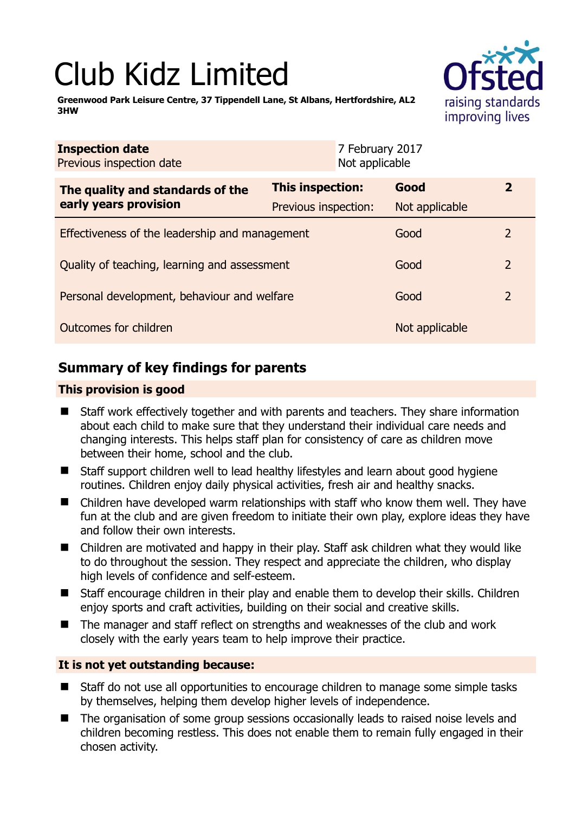# Club Kidz Limited

raising standards improving lives

**Greenwood Park Leisure Centre, 37 Tippendell Lane, St Albans, Hertfordshire, AL2 3HW** 

| <b>Inspection date</b><br>Previous inspection date        |                         | 7 February 2017<br>Not applicable |                |                |
|-----------------------------------------------------------|-------------------------|-----------------------------------|----------------|----------------|
| The quality and standards of the<br>early years provision | <b>This inspection:</b> |                                   | Good           | $\overline{2}$ |
|                                                           | Previous inspection:    |                                   | Not applicable |                |
| Effectiveness of the leadership and management            |                         |                                   | Good           | 2              |
| Quality of teaching, learning and assessment              |                         |                                   | Good           | $\overline{2}$ |
| Personal development, behaviour and welfare               |                         |                                   | Good           | $\overline{2}$ |
| Outcomes for children                                     |                         |                                   | Not applicable |                |

# **Summary of key findings for parents**

## **This provision is good**

- Staff work effectively together and with parents and teachers. They share information about each child to make sure that they understand their individual care needs and changing interests. This helps staff plan for consistency of care as children move between their home, school and the club.
- Staff support children well to lead healthy lifestyles and learn about good hygiene routines. Children enjoy daily physical activities, fresh air and healthy snacks.
- Children have developed warm relationships with staff who know them well. They have fun at the club and are given freedom to initiate their own play, explore ideas they have and follow their own interests.
- Children are motivated and happy in their play. Staff ask children what they would like to do throughout the session. They respect and appreciate the children, who display high levels of confidence and self-esteem.
- Staff encourage children in their play and enable them to develop their skills. Children enjoy sports and craft activities, building on their social and creative skills.
- The manager and staff reflect on strengths and weaknesses of the club and work closely with the early years team to help improve their practice.

## **It is not yet outstanding because:**

- Staff do not use all opportunities to encourage children to manage some simple tasks by themselves, helping them develop higher levels of independence.
- The organisation of some group sessions occasionally leads to raised noise levels and children becoming restless. This does not enable them to remain fully engaged in their chosen activity.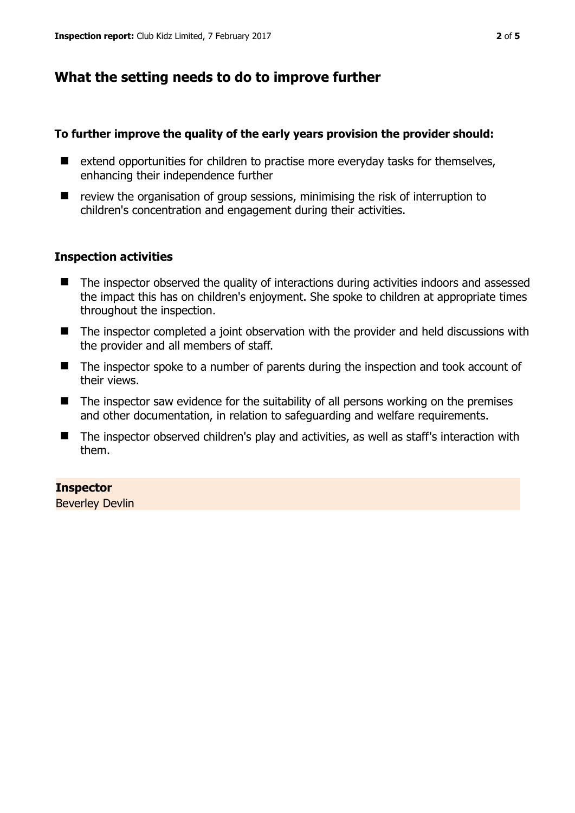# **What the setting needs to do to improve further**

### **To further improve the quality of the early years provision the provider should:**

- $\blacksquare$  extend opportunities for children to practise more everyday tasks for themselves, enhancing their independence further
- $\blacksquare$  review the organisation of group sessions, minimising the risk of interruption to children's concentration and engagement during their activities.

### **Inspection activities**

- The inspector observed the quality of interactions during activities indoors and assessed the impact this has on children's enjoyment. She spoke to children at appropriate times throughout the inspection.
- The inspector completed a joint observation with the provider and held discussions with the provider and all members of staff.
- The inspector spoke to a number of parents during the inspection and took account of their views.
- $\blacksquare$  The inspector saw evidence for the suitability of all persons working on the premises and other documentation, in relation to safeguarding and welfare requirements.
- The inspector observed children's play and activities, as well as staff's interaction with them.

### **Inspector**

Beverley Devlin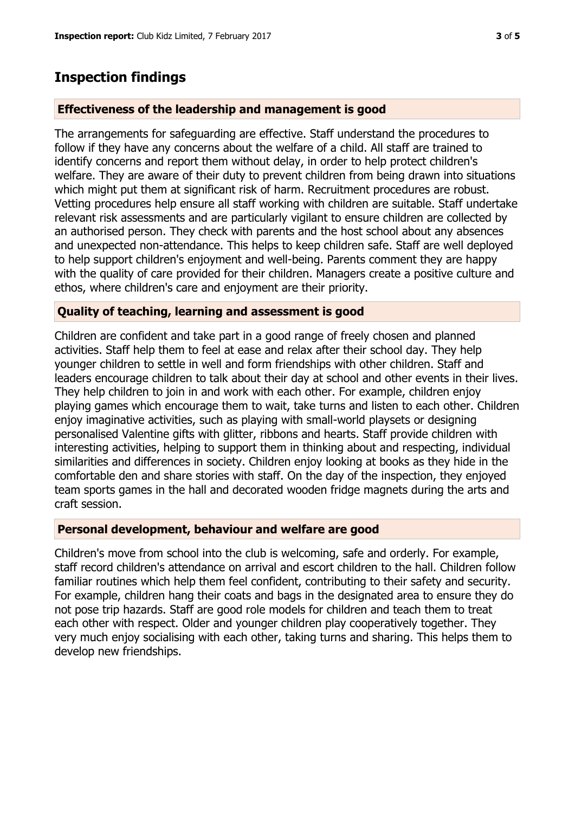## **Inspection findings**

#### **Effectiveness of the leadership and management is good**

The arrangements for safeguarding are effective. Staff understand the procedures to follow if they have any concerns about the welfare of a child. All staff are trained to identify concerns and report them without delay, in order to help protect children's welfare. They are aware of their duty to prevent children from being drawn into situations which might put them at significant risk of harm. Recruitment procedures are robust. Vetting procedures help ensure all staff working with children are suitable. Staff undertake relevant risk assessments and are particularly vigilant to ensure children are collected by an authorised person. They check with parents and the host school about any absences and unexpected non-attendance. This helps to keep children safe. Staff are well deployed to help support children's enjoyment and well-being. Parents comment they are happy with the quality of care provided for their children. Managers create a positive culture and ethos, where children's care and enjoyment are their priority.

#### **Quality of teaching, learning and assessment is good**

Children are confident and take part in a good range of freely chosen and planned activities. Staff help them to feel at ease and relax after their school day. They help younger children to settle in well and form friendships with other children. Staff and leaders encourage children to talk about their day at school and other events in their lives. They help children to join in and work with each other. For example, children enjoy playing games which encourage them to wait, take turns and listen to each other. Children enjoy imaginative activities, such as playing with small-world playsets or designing personalised Valentine gifts with glitter, ribbons and hearts. Staff provide children with interesting activities, helping to support them in thinking about and respecting, individual similarities and differences in society. Children enjoy looking at books as they hide in the comfortable den and share stories with staff. On the day of the inspection, they enjoyed team sports games in the hall and decorated wooden fridge magnets during the arts and craft session.

#### **Personal development, behaviour and welfare are good**

Children's move from school into the club is welcoming, safe and orderly. For example, staff record children's attendance on arrival and escort children to the hall. Children follow familiar routines which help them feel confident, contributing to their safety and security. For example, children hang their coats and bags in the designated area to ensure they do not pose trip hazards. Staff are good role models for children and teach them to treat each other with respect. Older and younger children play cooperatively together. They very much enjoy socialising with each other, taking turns and sharing. This helps them to develop new friendships.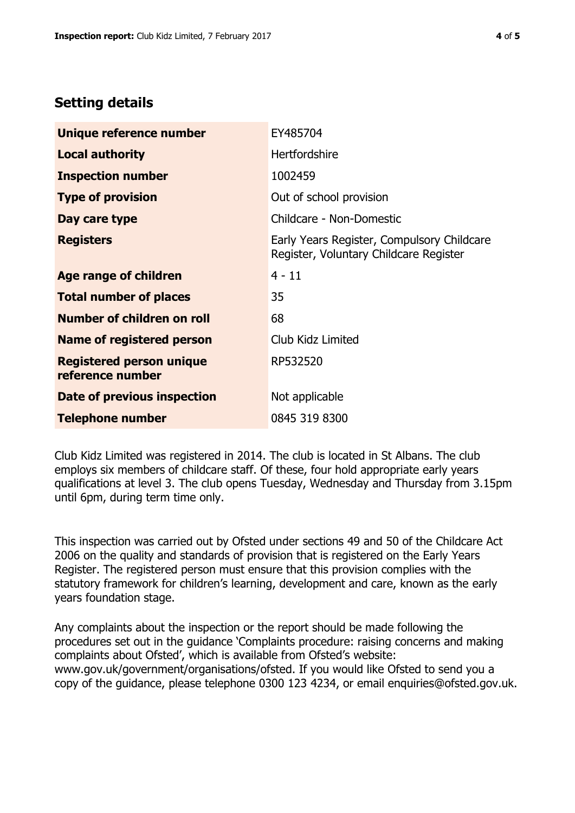## **Setting details**

| Unique reference number                             | EY485704                                                                             |  |
|-----------------------------------------------------|--------------------------------------------------------------------------------------|--|
| <b>Local authority</b>                              | <b>Hertfordshire</b>                                                                 |  |
| <b>Inspection number</b>                            | 1002459                                                                              |  |
| <b>Type of provision</b>                            | Out of school provision                                                              |  |
| Day care type                                       | Childcare - Non-Domestic                                                             |  |
| <b>Registers</b>                                    | Early Years Register, Compulsory Childcare<br>Register, Voluntary Childcare Register |  |
| Age range of children                               | $4 - 11$                                                                             |  |
| <b>Total number of places</b>                       | 35                                                                                   |  |
| Number of children on roll                          | 68                                                                                   |  |
| Name of registered person                           | Club Kidz Limited                                                                    |  |
| <b>Registered person unique</b><br>reference number | RP532520                                                                             |  |
| Date of previous inspection                         | Not applicable                                                                       |  |
| <b>Telephone number</b>                             | 0845 319 8300                                                                        |  |

Club Kidz Limited was registered in 2014. The club is located in St Albans. The club employs six members of childcare staff. Of these, four hold appropriate early years qualifications at level 3. The club opens Tuesday, Wednesday and Thursday from 3.15pm until 6pm, during term time only.

This inspection was carried out by Ofsted under sections 49 and 50 of the Childcare Act 2006 on the quality and standards of provision that is registered on the Early Years Register. The registered person must ensure that this provision complies with the statutory framework for children's learning, development and care, known as the early years foundation stage.

Any complaints about the inspection or the report should be made following the procedures set out in the guidance 'Complaints procedure: raising concerns and making complaints about Ofsted', which is available from Ofsted's website: www.gov.uk/government/organisations/ofsted. If you would like Ofsted to send you a copy of the guidance, please telephone 0300 123 4234, or email enquiries@ofsted.gov.uk.